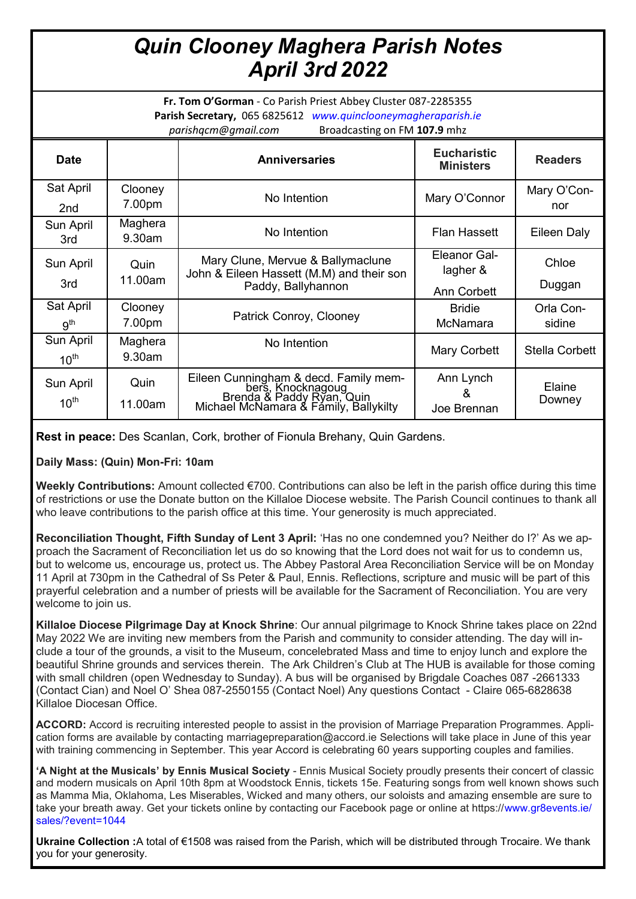## *Quin Clooney Maghera Parish Notes April 3rd 2022*

**Fr. Tom O'Gorman** - Co Parish Priest Abbey Cluster 087-2285355 **Parish Secretary,** 065 6825612 *www.quinclooneymagheraparish.ie parishqcm@gmail.com* Broadcasting on FM **107.9** mhz

|                               |                   | - -                                                                                                                              |                                                |                     |
|-------------------------------|-------------------|----------------------------------------------------------------------------------------------------------------------------------|------------------------------------------------|---------------------|
| <b>Date</b>                   |                   | <b>Anniversaries</b>                                                                                                             | <b>Eucharistic</b><br><b>Ministers</b>         | <b>Readers</b>      |
| Sat April<br>2nd              | Clooney<br>7.00pm | No Intention                                                                                                                     | Mary O'Connor                                  | Mary O'Con-<br>nor  |
| Sun April<br>3rd              | Maghera<br>9.30am | No Intention                                                                                                                     | <b>Flan Hassett</b>                            | Eileen Daly         |
| Sun April<br>3rd              | Quin<br>11.00am   | Mary Clune, Mervue & Ballymaclune<br>John & Eileen Hassett (M.M) and their son<br>Paddy, Ballyhannon                             | Eleanor Gal-<br>lagher &<br><b>Ann Corbett</b> | Chloe<br>Duggan     |
| Sat April<br>9 <sup>th</sup>  | Clooney<br>7.00pm | Patrick Conroy, Clooney                                                                                                          | <b>Bridie</b><br>McNamara                      | Orla Con-<br>sidine |
| Sun April<br>$10^{\text{th}}$ | Maghera<br>9.30am | No Intention                                                                                                                     | Mary Corbett                                   | Stella Corbett      |
| Sun April<br>$10^{th}$        | Quin<br>11.00am   | Eileen Cunningham & decd. Family mem-<br>bers, Knocknagoug<br>Brenda & Paddy Ryan, Quin<br>Michael McNamara & Family, Ballykilty | Ann Lynch<br>&<br>Joe Brennan                  | Elaine<br>Downey    |

**Rest in peace:** Des Scanlan, Cork, brother of Fionula Brehany, Quin Gardens.

**Daily Mass: (Quin) Mon-Fri: 10am**

**Weekly Contributions:** Amount collected €700. Contributions can also be left in the parish office during this time of restrictions or use the Donate button on the Killaloe Diocese website. The Parish Council continues to thank all who leave contributions to the parish office at this time. Your generosity is much appreciated.

**Reconciliation Thought, Fifth Sunday of Lent 3 April:** 'Has no one condemned you? Neither do I?' As we approach the Sacrament of Reconciliation let us do so knowing that the Lord does not wait for us to condemn us, but to welcome us, encourage us, protect us. The Abbey Pastoral Area Reconciliation Service will be on Monday 11 April at 730pm in the Cathedral of Ss Peter & Paul, Ennis. Reflections, scripture and music will be part of this prayerful celebration and a number of priests will be available for the Sacrament of Reconciliation. You are very welcome to join us.

**Killaloe Diocese Pilgrimage Day at Knock Shrine**: Our annual pilgrimage to Knock Shrine takes place on 22nd May 2022 We are inviting new members from the Parish and community to consider attending. The day will include a tour of the grounds, a visit to the Museum, concelebrated Mass and time to enjoy lunch and explore the beautiful Shrine grounds and services therein. The Ark Children's Club at The HUB is available for those coming with small children (open Wednesday to Sunday). A bus will be organised by Brigdale Coaches 087 -2661333 (Contact Cian) and Noel O' Shea 087-2550155 (Contact Noel) Any questions Contact - Claire 065-6828638 Killaloe Diocesan Office.

**ACCORD:** Accord is recruiting interested people to assist in the provision of Marriage Preparation Programmes. Application forms are available by contacting marriagepreparation@accord.ie Selections will take place in June of this year with training commencing in September. This year Accord is celebrating 60 years supporting couples and families.

**'A Night at the Musicals' by Ennis Musical Society** - Ennis Musical Society proudly presents their concert of classic and modern musicals on April 10th 8pm at Woodstock Ennis, tickets 15e. Featuring songs from well known shows such as Mamma Mia, Oklahoma, Les Miserables, Wicked and many others, our soloists and amazing ensemble are sure to take your breath away. Get your tickets online by contacting our Facebook page or online at https://www.gr8events.ie/ sales/?event=1044

**Ukraine Collection :**A total of €1508 was raised from the Parish, which will be distributed through Trocaire. We thank you for your generosity.